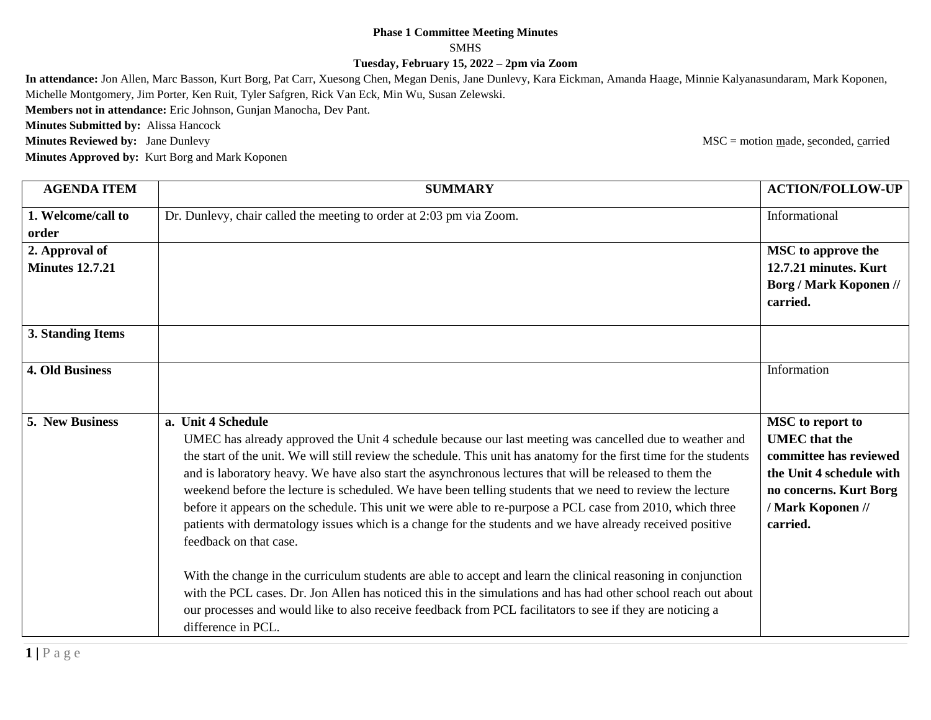## **Phase 1 Committee Meeting Minutes** SMHS **Tuesday, February 15, 2022 – 2pm via Zoom**

**In attendance:** Jon Allen, Marc Basson, Kurt Borg, Pat Carr, Xuesong Chen, Megan Denis, Jane Dunlevy, Kara Eickman, Amanda Haage, Minnie Kalyanasundaram, Mark Koponen, Michelle Montgomery, Jim Porter, Ken Ruit, Tyler Safgren, Rick Van Eck, Min Wu, Susan Zelewski.

**Members not in attendance:** Eric Johnson, Gunjan Manocha, Dev Pant.

**Minutes Submitted by:** Alissa Hancock

**Minutes Reviewed by:** Jane Dunlevy MSC = motion made, seconded, carried

**Minutes Approved by:** Kurt Borg and Mark Koponen

| <b>AGENDA ITEM</b>     | <b>SUMMARY</b>                                                                                                                                                                                                                                                                                                                                                                                                                                                                                                                                                                                                                                                                                                                                                                                                                                                                                                                                                                                                                                                                                         | <b>ACTION/FOLLOW-UP</b>                                                                                                                                   |
|------------------------|--------------------------------------------------------------------------------------------------------------------------------------------------------------------------------------------------------------------------------------------------------------------------------------------------------------------------------------------------------------------------------------------------------------------------------------------------------------------------------------------------------------------------------------------------------------------------------------------------------------------------------------------------------------------------------------------------------------------------------------------------------------------------------------------------------------------------------------------------------------------------------------------------------------------------------------------------------------------------------------------------------------------------------------------------------------------------------------------------------|-----------------------------------------------------------------------------------------------------------------------------------------------------------|
| 1. Welcome/call to     | Dr. Dunlevy, chair called the meeting to order at 2:03 pm via Zoom.                                                                                                                                                                                                                                                                                                                                                                                                                                                                                                                                                                                                                                                                                                                                                                                                                                                                                                                                                                                                                                    | Informational                                                                                                                                             |
| order                  |                                                                                                                                                                                                                                                                                                                                                                                                                                                                                                                                                                                                                                                                                                                                                                                                                                                                                                                                                                                                                                                                                                        |                                                                                                                                                           |
| 2. Approval of         |                                                                                                                                                                                                                                                                                                                                                                                                                                                                                                                                                                                                                                                                                                                                                                                                                                                                                                                                                                                                                                                                                                        | <b>MSC</b> to approve the                                                                                                                                 |
| <b>Minutes 12.7.21</b> |                                                                                                                                                                                                                                                                                                                                                                                                                                                                                                                                                                                                                                                                                                                                                                                                                                                                                                                                                                                                                                                                                                        | 12.7.21 minutes. Kurt                                                                                                                                     |
|                        |                                                                                                                                                                                                                                                                                                                                                                                                                                                                                                                                                                                                                                                                                                                                                                                                                                                                                                                                                                                                                                                                                                        | <b>Borg / Mark Koponen //</b>                                                                                                                             |
|                        |                                                                                                                                                                                                                                                                                                                                                                                                                                                                                                                                                                                                                                                                                                                                                                                                                                                                                                                                                                                                                                                                                                        | carried.                                                                                                                                                  |
| 3. Standing Items      |                                                                                                                                                                                                                                                                                                                                                                                                                                                                                                                                                                                                                                                                                                                                                                                                                                                                                                                                                                                                                                                                                                        |                                                                                                                                                           |
| <b>4. Old Business</b> |                                                                                                                                                                                                                                                                                                                                                                                                                                                                                                                                                                                                                                                                                                                                                                                                                                                                                                                                                                                                                                                                                                        | Information                                                                                                                                               |
| 5. New Business        | a. Unit 4 Schedule<br>UMEC has already approved the Unit 4 schedule because our last meeting was cancelled due to weather and<br>the start of the unit. We will still review the schedule. This unit has anatomy for the first time for the students<br>and is laboratory heavy. We have also start the asynchronous lectures that will be released to them the<br>weekend before the lecture is scheduled. We have been telling students that we need to review the lecture<br>before it appears on the schedule. This unit we were able to re-purpose a PCL case from 2010, which three<br>patients with dermatology issues which is a change for the students and we have already received positive<br>feedback on that case.<br>With the change in the curriculum students are able to accept and learn the clinical reasoning in conjunction<br>with the PCL cases. Dr. Jon Allen has noticed this in the simulations and has had other school reach out about<br>our processes and would like to also receive feedback from PCL facilitators to see if they are noticing a<br>difference in PCL. | MSC to report to<br><b>UMEC</b> that the<br>committee has reviewed<br>the Unit 4 schedule with<br>no concerns. Kurt Borg<br>/ Mark Koponen //<br>carried. |